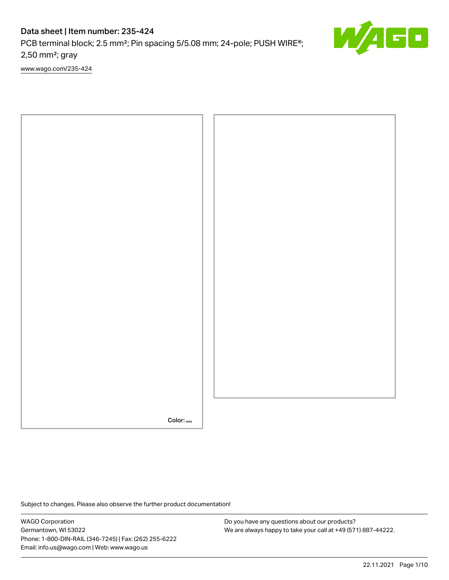# Data sheet | Item number: 235-424

PCB terminal block; 2.5 mm<sup>2</sup>; Pin spacing 5/5.08 mm; 24-pole; PUSH WIRE®; 2,50 mm²; gray

[www.wago.com/235-424](http://www.wago.com/235-424)



Subject to changes. Please also observe the further product documentation!

WAGO Corporation Germantown, WI 53022 Phone: 1-800-DIN-RAIL (346-7245) | Fax: (262) 255-6222 Email: info.us@wago.com | Web: www.wago.us

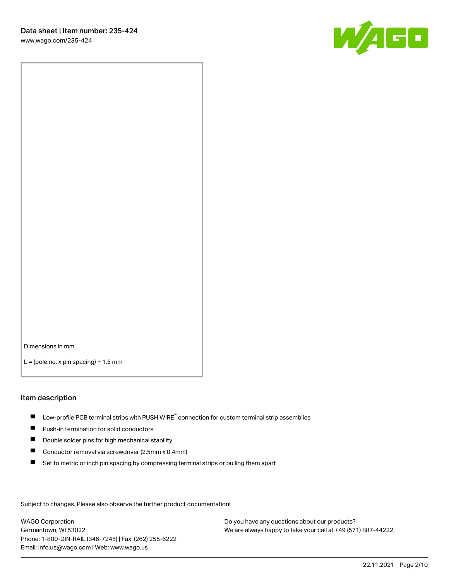W/IEE

Dimensions in mm  $L =$  (pole no. x pin spacing) + 1.5 mm

#### Item description

- $\blacksquare$  Low-profile PCB terminal strips with PUSH WIRE<sup>®</sup> connection for custom terminal strip assemblies
- **Push-in termination for solid conductors**
- $\blacksquare$ Double solder pins for high mechanical stability
- $\blacksquare$ Conductor removal via screwdriver (2.5mm x 0.4mm)
- $\blacksquare$ Set to metric or inch pin spacing by compressing terminal strips or pulling them apart

Subject to changes. Please also observe the further product documentation!

WAGO Corporation Germantown, WI 53022 Phone: 1-800-DIN-RAIL (346-7245) | Fax: (262) 255-6222 Email: info.us@wago.com | Web: www.wago.us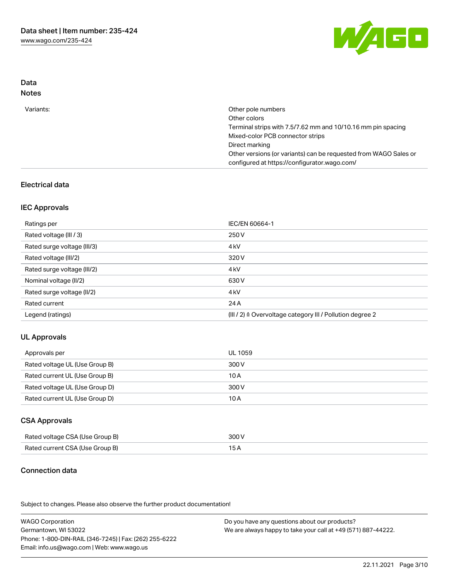

## Data Notes

| Variants: | Other pole numbers                                               |
|-----------|------------------------------------------------------------------|
|           | Other colors                                                     |
|           | Terminal strips with 7.5/7.62 mm and 10/10.16 mm pin spacing     |
|           | Mixed-color PCB connector strips                                 |
|           | Direct marking                                                   |
|           | Other versions (or variants) can be requested from WAGO Sales or |
|           | configured at https://configurator.wago.com/                     |

### Electrical data

### IEC Approvals

| Ratings per                 | IEC/EN 60664-1                                            |
|-----------------------------|-----------------------------------------------------------|
| Rated voltage (III / 3)     | 250 V                                                     |
| Rated surge voltage (III/3) | 4 <sub>k</sub> V                                          |
| Rated voltage (III/2)       | 320 V                                                     |
| Rated surge voltage (III/2) | 4 <sub>k</sub> V                                          |
| Nominal voltage (II/2)      | 630 V                                                     |
| Rated surge voltage (II/2)  | 4 <sub>k</sub> V                                          |
| Rated current               | 24 A                                                      |
| Legend (ratings)            | (III / 2) ≙ Overvoltage category III / Pollution degree 2 |

### UL Approvals

| Approvals per                  | UL 1059 |
|--------------------------------|---------|
| Rated voltage UL (Use Group B) | 300 V   |
| Rated current UL (Use Group B) | 10 A    |
| Rated voltage UL (Use Group D) | 300 V   |
| Rated current UL (Use Group D) | 10 A    |

## CSA Approvals

| Rated voltage CSA (Use Group B) | 300 V |
|---------------------------------|-------|
| Rated current CSA (Use Group B) | 15 A  |

## Connection data

.<br>Subject to changes. Please also observe the further product documentation!

WAGO Corporation Germantown, WI 53022 Phone: 1-800-DIN-RAIL (346-7245) | Fax: (262) 255-6222 Email: info.us@wago.com | Web: www.wago.us Do you have any questions about our products? We are always happy to take your call at +49 (571) 887-44222.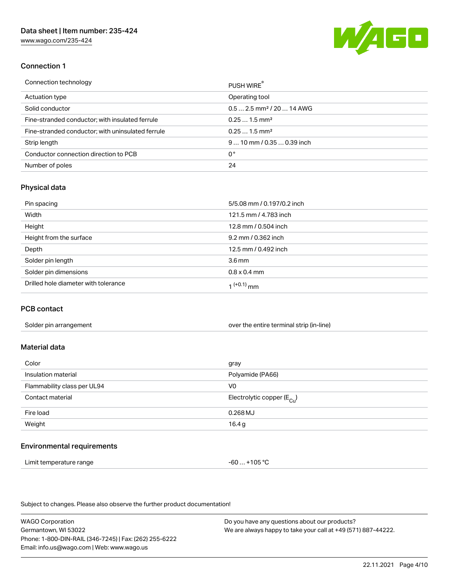[www.wago.com/235-424](http://www.wago.com/235-424)



### Connection 1

| Connection technology                             | PUSH WIRE                              |
|---------------------------------------------------|----------------------------------------|
| Actuation type                                    | Operating tool                         |
| Solid conductor                                   | $0.5$ 2.5 mm <sup>2</sup> / 20  14 AWG |
| Fine-stranded conductor; with insulated ferrule   | $0.251.5$ mm <sup>2</sup>              |
| Fine-stranded conductor; with uninsulated ferrule | $0.251.5$ mm <sup>2</sup>              |
| Strip length                                      | $910$ mm $/0.350.39$ inch              |
| Conductor connection direction to PCB             | 0°                                     |
| Number of poles                                   | 24                                     |

### Physical data

| Pin spacing                          | 5/5.08 mm / 0.197/0.2 inch |
|--------------------------------------|----------------------------|
| Width                                | 121.5 mm / 4.783 inch      |
| Height                               | 12.8 mm / 0.504 inch       |
| Height from the surface              | 9.2 mm / 0.362 inch        |
| Depth                                | 12.5 mm / 0.492 inch       |
| Solder pin length                    | 3.6 <sub>mm</sub>          |
| Solder pin dimensions                | $0.8 \times 0.4$ mm        |
| Drilled hole diameter with tolerance | 1 <sup>(+0.1)</sup> mm     |

#### PCB contact

| Solder pin arrangement | over the entire terminal strip (in-line) |
|------------------------|------------------------------------------|
|                        |                                          |

## Material data

| Color                       | gray                                  |
|-----------------------------|---------------------------------------|
| Insulation material         | Polyamide (PA66)                      |
| Flammability class per UL94 | V0                                    |
| Contact material            | Electrolytic copper $(E_{\text{Cl}})$ |
| Fire load                   | $0.268$ MJ                            |
| Weight                      | 16.4 g                                |
|                             |                                       |

#### Environmental requirements

Limit temperature range  $-60...+105$  °C

Subject to changes. Please also observe the further product documentation!

WAGO Corporation Germantown, WI 53022 Phone: 1-800-DIN-RAIL (346-7245) | Fax: (262) 255-6222 Email: info.us@wago.com | Web: www.wago.us Do you have any questions about our products? We are always happy to take your call at +49 (571) 887-44222.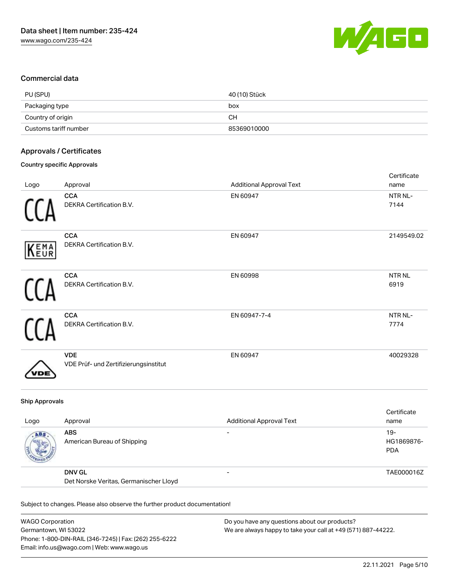

#### Commercial data

| PU (SPU)              | 40 (10) Stück |
|-----------------------|---------------|
| Packaging type        | box           |
| Country of origin     | <b>CH</b>     |
| Customs tariff number | 85369010000   |

### Approvals / Certificates

### Country specific Approvals

| Logo | Approval                                            | <b>Additional Approval Text</b> | Certificate<br>name       |
|------|-----------------------------------------------------|---------------------------------|---------------------------|
|      | <b>CCA</b><br>DEKRA Certification B.V.              | EN 60947                        | NTR NL-<br>7144           |
| KEMA | <b>CCA</b><br>DEKRA Certification B.V.              | EN 60947                        | 2149549.02                |
|      | <b>CCA</b><br>DEKRA Certification B.V.              | EN 60998                        | NTR <sub>NL</sub><br>6919 |
|      | <b>CCA</b><br>DEKRA Certification B.V.              | EN 60947-7-4                    | NTR NL-<br>7774           |
|      | <b>VDE</b><br>VDE Prüf- und Zertifizierungsinstitut | EN 60947                        | 40029328                  |

#### Ship Approvals

| Logo | Approval                                                | <b>Additional Approval Text</b> | Certificate<br>name                |
|------|---------------------------------------------------------|---------------------------------|------------------------------------|
| ABS  | <b>ABS</b><br>American Bureau of Shipping               | $\overline{\phantom{0}}$        | $19 -$<br>HG1869876-<br><b>PDA</b> |
|      | <b>DNV GL</b><br>Det Norske Veritas, Germanischer Lloyd | $\overline{\phantom{0}}$        | TAE000016Z                         |

Subject to changes. Please also observe the further product documentation!

| <b>WAGO Corporation</b>                                | Do you have any questions about our products?                 |
|--------------------------------------------------------|---------------------------------------------------------------|
| Germantown, WI 53022                                   | We are always happy to take your call at +49 (571) 887-44222. |
| Phone: 1-800-DIN-RAIL (346-7245)   Fax: (262) 255-6222 |                                                               |
| Email: info.us@wago.com   Web: www.wago.us             |                                                               |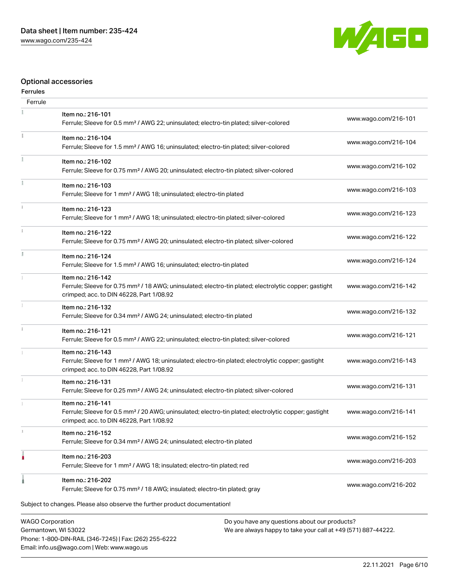

### Optional accessories

| <b>Ferrules</b>         |                                                                                                                                                                                    |                      |
|-------------------------|------------------------------------------------------------------------------------------------------------------------------------------------------------------------------------|----------------------|
| Ferrule                 |                                                                                                                                                                                    |                      |
|                         | Item no.: 216-101<br>Ferrule; Sleeve for 0.5 mm <sup>2</sup> / AWG 22; uninsulated; electro-tin plated; silver-colored                                                             | www.wago.com/216-101 |
|                         | Item no.: 216-104<br>Ferrule; Sleeve for 1.5 mm <sup>2</sup> / AWG 16; uninsulated; electro-tin plated; silver-colored                                                             | www.wago.com/216-104 |
| ī                       | Item no.: 216-102<br>Ferrule; Sleeve for 0.75 mm <sup>2</sup> / AWG 20; uninsulated; electro-tin plated; silver-colored                                                            | www.wago.com/216-102 |
|                         | Item no.: 216-103<br>Ferrule; Sleeve for 1 mm <sup>2</sup> / AWG 18; uninsulated; electro-tin plated                                                                               | www.wago.com/216-103 |
| $\frac{1}{3}$           | Item no.: 216-123<br>Ferrule; Sleeve for 1 mm <sup>2</sup> / AWG 18; uninsulated; electro-tin plated; silver-colored                                                               | www.wago.com/216-123 |
|                         | Item no.: 216-122<br>Ferrule; Sleeve for 0.75 mm <sup>2</sup> / AWG 20; uninsulated; electro-tin plated; silver-colored                                                            | www.wago.com/216-122 |
| I.                      | Item no.: 216-124<br>Ferrule; Sleeve for 1.5 mm <sup>2</sup> / AWG 16; uninsulated; electro-tin plated                                                                             | www.wago.com/216-124 |
|                         | Item no.: 216-142<br>Ferrule; Sleeve for 0.75 mm <sup>2</sup> / 18 AWG; uninsulated; electro-tin plated; electrolytic copper; gastight<br>crimped; acc. to DIN 46228, Part 1/08.92 | www.wago.com/216-142 |
|                         | Item no.: 216-132<br>Ferrule; Sleeve for 0.34 mm <sup>2</sup> / AWG 24; uninsulated; electro-tin plated                                                                            | www.wago.com/216-132 |
|                         | Item no.: 216-121<br>Ferrule; Sleeve for 0.5 mm <sup>2</sup> / AWG 22; uninsulated; electro-tin plated; silver-colored                                                             | www.wago.com/216-121 |
|                         | Item no.: 216-143<br>Ferrule; Sleeve for 1 mm <sup>2</sup> / AWG 18; uninsulated; electro-tin plated; electrolytic copper; gastight<br>crimped; acc. to DIN 46228, Part 1/08.92    | www.wago.com/216-143 |
|                         | Item no.: 216-131<br>Ferrule; Sleeve for 0.25 mm <sup>2</sup> / AWG 24; uninsulated; electro-tin plated; silver-colored                                                            | www.wago.com/216-131 |
|                         | Item no.: 216-141<br>Ferrule; Sleeve for 0.5 mm <sup>2</sup> / 20 AWG; uninsulated; electro-tin plated; electrolytic copper; gastight<br>crimped; acc. to DIN 46228, Part 1/08.92  | www.wago.com/216-141 |
| J.                      | Item no.: 216-152<br>Ferrule; Sleeve for 0.34 mm <sup>2</sup> / AWG 24; uninsulated; electro-tin plated                                                                            | www.wago.com/216-152 |
|                         | Item no.: 216-203<br>Ferrule; Sleeve for 1 mm <sup>2</sup> / AWG 18; insulated; electro-tin plated; red                                                                            | www.wago.com/216-203 |
|                         | Item no.: 216-202<br>Ferrule; Sleeve for 0.75 mm <sup>2</sup> / 18 AWG; insulated; electro-tin plated; gray                                                                        | www.wago.com/216-202 |
|                         | Subject to changes. Please also observe the further product documentation!                                                                                                         |                      |
| <b>WAGO Corporation</b> | Do you have any questions about our products?                                                                                                                                      |                      |

WAGO Corporation Germantown, WI 53022 Phone: 1-800-DIN-RAIL (346-7245) | Fax: (262) 255-6222 Email: info.us@wago.com | Web: www.wago.us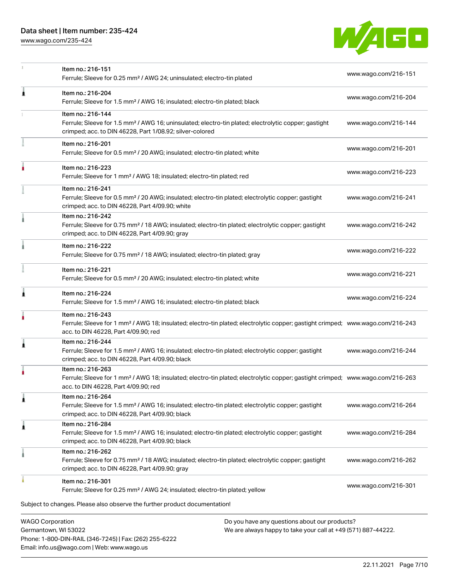## Data sheet | Item number: 235-424

Phone: 1-800-DIN-RAIL (346-7245) | Fax: (262) 255-6222

Email: info.us@wago.com | Web: www.wago.us

[www.wago.com/235-424](http://www.wago.com/235-424)



|                                                 | Item no.: 216-151<br>Ferrule; Sleeve for 0.25 mm <sup>2</sup> / AWG 24; uninsulated; electro-tin plated                                                                                                 |                                                                                                                | www.wago.com/216-151 |  |
|-------------------------------------------------|---------------------------------------------------------------------------------------------------------------------------------------------------------------------------------------------------------|----------------------------------------------------------------------------------------------------------------|----------------------|--|
| 1                                               | Item no.: 216-204<br>Ferrule; Sleeve for 1.5 mm <sup>2</sup> / AWG 16; insulated; electro-tin plated; black                                                                                             |                                                                                                                | www.wago.com/216-204 |  |
|                                                 | Item no.: 216-144<br>Ferrule; Sleeve for 1.5 mm <sup>2</sup> / AWG 16; uninsulated; electro-tin plated; electrolytic copper; gastight<br>crimped; acc. to DIN 46228, Part 1/08.92; silver-colored       |                                                                                                                | www.wago.com/216-144 |  |
|                                                 | Item no.: 216-201<br>Ferrule; Sleeve for 0.5 mm <sup>2</sup> / 20 AWG; insulated; electro-tin plated; white                                                                                             |                                                                                                                | www.wago.com/216-201 |  |
|                                                 | Item no.: 216-223<br>Ferrule; Sleeve for 1 mm <sup>2</sup> / AWG 18; insulated; electro-tin plated; red                                                                                                 |                                                                                                                | www.wago.com/216-223 |  |
|                                                 | Item no.: 216-241<br>Ferrule; Sleeve for 0.5 mm <sup>2</sup> / 20 AWG; insulated; electro-tin plated; electrolytic copper; gastight<br>crimped; acc. to DIN 46228, Part 4/09.90; white                  |                                                                                                                | www.wago.com/216-241 |  |
|                                                 | Item no.: 216-242<br>Ferrule; Sleeve for 0.75 mm <sup>2</sup> / 18 AWG; insulated; electro-tin plated; electrolytic copper; gastight<br>crimped; acc. to DIN 46228, Part 4/09.90; gray                  |                                                                                                                | www.wago.com/216-242 |  |
|                                                 | Item no.: 216-222<br>Ferrule; Sleeve for 0.75 mm <sup>2</sup> / 18 AWG; insulated; electro-tin plated; gray                                                                                             |                                                                                                                | www.wago.com/216-222 |  |
|                                                 | Item no.: 216-221<br>Ferrule; Sleeve for 0.5 mm <sup>2</sup> / 20 AWG; insulated; electro-tin plated; white                                                                                             |                                                                                                                | www.wago.com/216-221 |  |
| Â                                               | Item no.: 216-224<br>Ferrule; Sleeve for 1.5 mm <sup>2</sup> / AWG 16; insulated; electro-tin plated; black                                                                                             |                                                                                                                | www.wago.com/216-224 |  |
|                                                 | Item no.: 216-243<br>Ferrule; Sleeve for 1 mm <sup>2</sup> / AWG 18; insulated; electro-tin plated; electrolytic copper; gastight crimped; www.wago.com/216-243<br>acc. to DIN 46228, Part 4/09.90; red |                                                                                                                |                      |  |
| 1                                               | Item no.: 216-244<br>Ferrule; Sleeve for 1.5 mm <sup>2</sup> / AWG 16; insulated; electro-tin plated; electrolytic copper; gastight<br>crimped; acc. to DIN 46228, Part 4/09.90; black                  |                                                                                                                | www.wago.com/216-244 |  |
|                                                 | Item no.: 216-263<br>Ferrule; Sleeve for 1 mm <sup>2</sup> / AWG 18; insulated; electro-tin plated; electrolytic copper; gastight crimped; www.wago.com/216-263<br>acc. to DIN 46228. Part 4/09.90: red |                                                                                                                |                      |  |
| 1                                               | ltem no.: 216-264<br>Ferrule; Sleeve for 1.5 mm <sup>2</sup> / AWG 16; insulated; electro-tin plated; electrolytic copper; gastight<br>crimped; acc. to DIN 46228, Part 4/09.90; black                  |                                                                                                                | www.wago.com/216-264 |  |
| 1                                               | Item no.: 216-284<br>Ferrule; Sleeve for 1.5 mm <sup>2</sup> / AWG 16; insulated; electro-tin plated; electrolytic copper; gastight<br>crimped; acc. to DIN 46228, Part 4/09.90; black                  |                                                                                                                | www.wago.com/216-284 |  |
|                                                 | Item no.: 216-262<br>Ferrule; Sleeve for 0.75 mm <sup>2</sup> / 18 AWG; insulated; electro-tin plated; electrolytic copper; gastight<br>crimped; acc. to DIN 46228, Part 4/09.90; gray                  |                                                                                                                | www.wago.com/216-262 |  |
|                                                 | Item no.: 216-301<br>Ferrule; Sleeve for 0.25 mm <sup>2</sup> / AWG 24; insulated; electro-tin plated; yellow                                                                                           |                                                                                                                | www.wago.com/216-301 |  |
|                                                 | Subject to changes. Please also observe the further product documentation!                                                                                                                              |                                                                                                                |                      |  |
| <b>WAGO Corporation</b><br>Germantown, WI 53022 |                                                                                                                                                                                                         | Do you have any questions about our products?<br>We are always happy to take your call at +49 (571) 887-44222. |                      |  |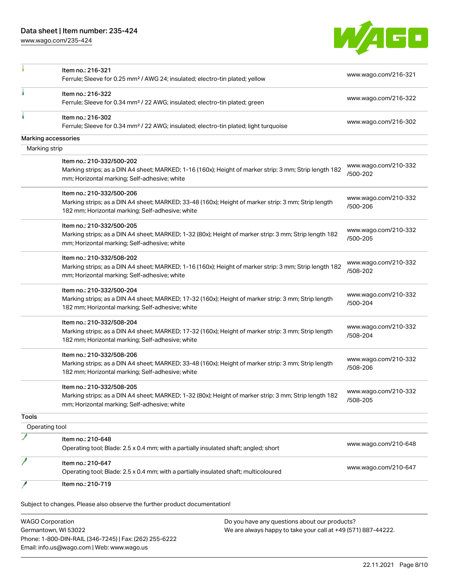[www.wago.com/235-424](http://www.wago.com/235-424)



|                         | Item no.: 216-321                                                                                                                                      |                                  |                      |
|-------------------------|--------------------------------------------------------------------------------------------------------------------------------------------------------|----------------------------------|----------------------|
|                         | Ferrule; Sleeve for 0.25 mm <sup>2</sup> / AWG 24; insulated; electro-tin plated; yellow                                                               | www.wago.com/216-321             |                      |
|                         | Item no.: 216-322<br>Ferrule; Sleeve for 0.34 mm <sup>2</sup> / 22 AWG; insulated; electro-tin plated; green                                           | www.wago.com/216-322             |                      |
|                         |                                                                                                                                                        |                                  |                      |
|                         | Item no.: 216-302                                                                                                                                      | www.wago.com/216-302             |                      |
|                         | Ferrule; Sleeve for 0.34 mm <sup>2</sup> / 22 AWG; insulated; electro-tin plated; light turquoise                                                      |                                  |                      |
|                         | Marking accessories                                                                                                                                    |                                  |                      |
| Marking strip           |                                                                                                                                                        |                                  |                      |
|                         | Item no.: 210-332/500-202                                                                                                                              |                                  | www.wago.com/210-332 |
|                         | Marking strips; as a DIN A4 sheet; MARKED; 1-16 (160x); Height of marker strip: 3 mm; Strip length 182<br>mm; Horizontal marking; Self-adhesive; white | /500-202                         |                      |
|                         | Item no.: 210-332/500-206                                                                                                                              |                                  |                      |
|                         | Marking strips; as a DIN A4 sheet; MARKED; 33-48 (160x); Height of marker strip: 3 mm; Strip length                                                    | www.wago.com/210-332<br>/500-206 |                      |
|                         | 182 mm; Horizontal marking; Self-adhesive; white                                                                                                       |                                  |                      |
|                         | Item no.: 210-332/500-205                                                                                                                              |                                  |                      |
|                         | Marking strips; as a DIN A4 sheet; MARKED; 1-32 (80x); Height of marker strip: 3 mm; Strip length 182                                                  | www.wago.com/210-332<br>/500-205 |                      |
|                         | mm; Horizontal marking; Self-adhesive; white                                                                                                           |                                  |                      |
|                         | Item no.: 210-332/508-202                                                                                                                              |                                  |                      |
|                         | Marking strips; as a DIN A4 sheet; MARKED; 1-16 (160x); Height of marker strip: 3 mm; Strip length 182                                                 | www.wago.com/210-332<br>/508-202 |                      |
|                         | mm; Horizontal marking; Self-adhesive; white                                                                                                           |                                  |                      |
|                         | Item no.: 210-332/500-204                                                                                                                              |                                  |                      |
|                         | Marking strips; as a DIN A4 sheet; MARKED; 17-32 (160x); Height of marker strip: 3 mm; Strip length                                                    | www.wago.com/210-332<br>/500-204 |                      |
|                         | 182 mm; Horizontal marking; Self-adhesive; white                                                                                                       |                                  |                      |
|                         | Item no.: 210-332/508-204                                                                                                                              |                                  |                      |
|                         | Marking strips; as a DIN A4 sheet; MARKED; 17-32 (160x); Height of marker strip: 3 mm; Strip length                                                    | www.wago.com/210-332<br>/508-204 |                      |
|                         | 182 mm; Horizontal marking; Self-adhesive; white                                                                                                       |                                  |                      |
|                         | Item no.: 210-332/508-206                                                                                                                              |                                  |                      |
|                         | Marking strips; as a DIN A4 sheet; MARKED; 33-48 (160x); Height of marker strip: 3 mm; Strip length                                                    | www.wago.com/210-332<br>/508-206 |                      |
|                         | 182 mm; Horizontal marking; Self-adhesive; white                                                                                                       |                                  |                      |
|                         | Item no.: 210-332/508-205                                                                                                                              |                                  |                      |
|                         | Marking strips; as a DIN A4 sheet; MARKED; 1-32 (80x); Height of marker strip: 3 mm; Strip length 182                                                  | www.wago.com/210-332<br>/508-205 |                      |
|                         | mm; Horizontal marking; Self-adhesive; white                                                                                                           |                                  |                      |
| <b>Tools</b>            |                                                                                                                                                        |                                  |                      |
| Operating tool          |                                                                                                                                                        |                                  |                      |
|                         | Item no.: 210-648                                                                                                                                      |                                  |                      |
|                         | Operating tool; Blade: 2.5 x 0.4 mm; with a partially insulated shaft; angled; short                                                                   | www.wago.com/210-648             |                      |
|                         | Item no.: 210-647                                                                                                                                      |                                  |                      |
|                         | Operating tool; Blade: 2.5 x 0.4 mm; with a partially insulated shaft; multicoloured                                                                   | www.wago.com/210-647             |                      |
|                         | Item no.: 210-719                                                                                                                                      |                                  |                      |
|                         |                                                                                                                                                        |                                  |                      |
|                         | Subject to changes. Please also observe the further product documentation!                                                                             |                                  |                      |
| <b>WAGO Corporation</b> | Do you have any questions about our products?                                                                                                          |                                  |                      |
|                         |                                                                                                                                                        |                                  |                      |

Germantown, WI 53022 Phone: 1-800-DIN-RAIL (346-7245) | Fax: (262) 255-6222 Email: info.us@wago.com | Web: www.wago.us

We are always happy to take your call at +49 (571) 887-44222.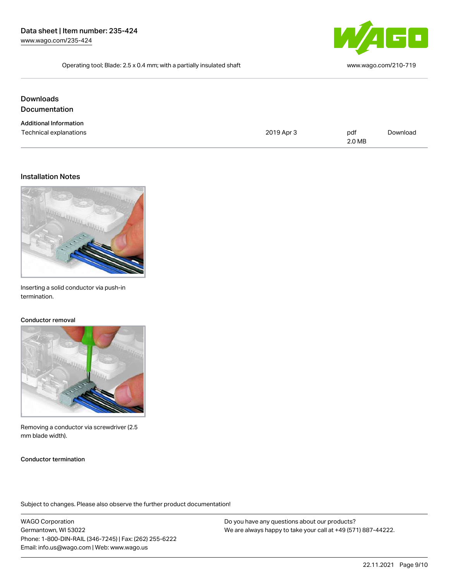

Operating tool; Blade: 2.5 x 0.4 mm; with a partially insulated shaft [www.wago.com/210-719](http://www.wago.com/210-719)

**Downloads** Documentation

| <b>Additional Information</b> |            |        |          |  |
|-------------------------------|------------|--------|----------|--|
| Technical explanations        | 2019 Apr 3 | pdf    | Download |  |
|                               |            | 2.0 MB |          |  |

#### Installation Notes



Inserting a solid conductor via push-in termination.

### Conductor removal



Removing a conductor via screwdriver (2.5 mm blade width).

#### Conductor termination

Subject to changes. Please also observe the further product documentation!

WAGO Corporation Germantown, WI 53022 Phone: 1-800-DIN-RAIL (346-7245) | Fax: (262) 255-6222 Email: info.us@wago.com | Web: www.wago.us